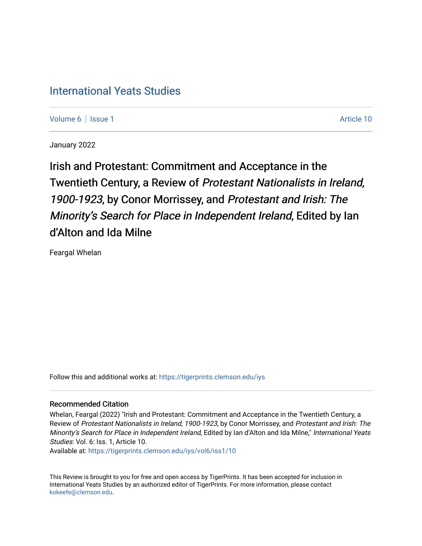# [International Yeats Studies](https://tigerprints.clemson.edu/iys)

[Volume 6](https://tigerprints.clemson.edu/iys/vol6) | [Issue 1](https://tigerprints.clemson.edu/iys/vol6/iss1) Article 10

January 2022

Irish and Protestant: Commitment and Acceptance in the Twentieth Century, a Review of Protestant Nationalists in Ireland, 1900-1923, by Conor Morrissey, and Protestant and Irish: The Minority's Search for Place in Independent Ireland, Edited by Ian d'Alton and Ida Milne

Feargal Whelan

Follow this and additional works at: [https://tigerprints.clemson.edu/iys](https://tigerprints.clemson.edu/iys?utm_source=tigerprints.clemson.edu%2Fiys%2Fvol6%2Fiss1%2F10&utm_medium=PDF&utm_campaign=PDFCoverPages) 

#### Recommended Citation

Whelan, Feargal (2022) "Irish and Protestant: Commitment and Acceptance in the Twentieth Century, a Review of Protestant Nationalists in Ireland, 1900-1923, by Conor Morrissey, and Protestant and Irish: The Minority's Search for Place in Independent Ireland, Edited by Ian d'Alton and Ida Milne," International Yeats Studies: Vol. 6: Iss. 1, Article 10.

Available at: [https://tigerprints.clemson.edu/iys/vol6/iss1/10](https://tigerprints.clemson.edu/iys/vol6/iss1/10?utm_source=tigerprints.clemson.edu%2Fiys%2Fvol6%2Fiss1%2F10&utm_medium=PDF&utm_campaign=PDFCoverPages) 

This Review is brought to you for free and open access by TigerPrints. It has been accepted for inclusion in International Yeats Studies by an authorized editor of TigerPrints. For more information, please contact [kokeefe@clemson.edu](mailto:kokeefe@clemson.edu).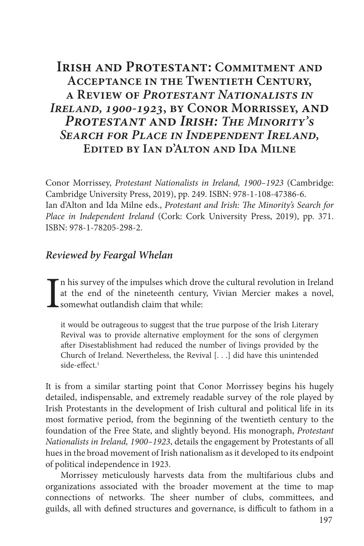## **IRISH AND PROTESTANT: COMMITMENT AND Acceptance in the Twentieth Century, a Review of** *Protestant Nationalists in Ireland, 1900-1923***, by Conor Morrissey, and**  *Protestant* **and** *Irish: The Minority's Search for Place in Independent Ireland,* **Edited by Ian d'Alton and Ida Milne**

Conor Morrissey, *Protestant Nationalists in Ireland, 1900–1923* (Cambridge: Cambridge University Press, 2019), pp. 249. ISBN: 978-1-108-47386-6. Ian d'Alton and Ida Milne eds., *Protestant and Irish: The Minority's Search for Place in Independent Ireland* (Cork: Cork University Press, 2019), pp. 371. ISBN: 978-1-78205-298-2.

### *Reviewed by Feargal Whelan*

I n his survey of the impulses which drove the cultural revolution in Ireland at the end of the nineteenth century, Vivian Mercier makes a novel, somewhat outlandish claim that while:

it would be outrageous to suggest that the true purpose of the Irish Literary Revival was to provide alternative employment for the sons of clergymen after Disestablishment had reduced the number of livings provided by the Church of Ireland. Nevertheless, the Revival [. . .] did have this unintended side-effect.1

It is from a similar starting point that Conor Morrissey begins his hugely detailed, indispensable, and extremely readable survey of the role played by Irish Protestants in the development of Irish cultural and political life in its most formative period, from the beginning of the twentieth century to the foundation of the Free State, and slightly beyond. His monograph, *Protestant Nationalists in Ireland, 1900–1923*, details the engagement by Protestants of all hues in the broad movement of Irish nationalism as it developed to its endpoint of political independence in 1923.

Morrissey meticulously harvests data from the multifarious clubs and organizations associated with the broader movement at the time to map connections of networks. The sheer number of clubs, committees, and guilds, all with defined structures and governance, is difficult to fathom in a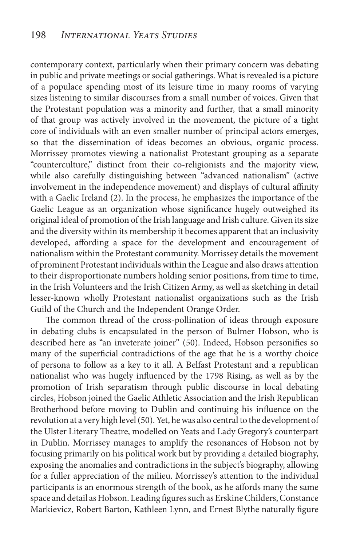contemporary context, particularly when their primary concern was debating in public and private meetings or social gatherings. What is revealed is a picture of a populace spending most of its leisure time in many rooms of varying sizes listening to similar discourses from a small number of voices. Given that the Protestant population was a minority and further, that a small minority of that group was actively involved in the movement, the picture of a tight core of individuals with an even smaller number of principal actors emerges, so that the dissemination of ideas becomes an obvious, organic process. Morrissey promotes viewing a nationalist Protestant grouping as a separate "counterculture," distinct from their co-religionists and the majority view, while also carefully distinguishing between "advanced nationalism" (active involvement in the independence movement) and displays of cultural affinity with a Gaelic Ireland (2). In the process, he emphasizes the importance of the Gaelic League as an organization whose significance hugely outweighed its original ideal of promotion of the Irish language and Irish culture. Given its size and the diversity within its membership it becomes apparent that an inclusivity developed, affording a space for the development and encouragement of nationalism within the Protestant community. Morrissey details the movement of prominent Protestant individuals within the League and also draws attention to their disproportionate numbers holding senior positions, from time to time, in the Irish Volunteers and the Irish Citizen Army, as well as sketching in detail lesser-known wholly Protestant nationalist organizations such as the Irish Guild of the Church and the Independent Orange Order.

The common thread of the cross-pollination of ideas through exposure in debating clubs is encapsulated in the person of Bulmer Hobson, who is described here as "an inveterate joiner" (50). Indeed, Hobson personifies so many of the superficial contradictions of the age that he is a worthy choice of persona to follow as a key to it all. A Belfast Protestant and a republican nationalist who was hugely influenced by the 1798 Rising, as well as by the promotion of Irish separatism through public discourse in local debating circles, Hobson joined the Gaelic Athletic Association and the Irish Republican Brotherhood before moving to Dublin and continuing his influence on the revolution at a very high level (50). Yet, he was also central to the development of the Ulster Literary Theatre, modelled on Yeats and Lady Gregory's counterpart in Dublin. Morrissey manages to amplify the resonances of Hobson not by focusing primarily on his political work but by providing a detailed biography, exposing the anomalies and contradictions in the subject's biography, allowing for a fuller appreciation of the milieu. Morrissey's attention to the individual participants is an enormous strength of the book, as he affords many the same space and detail as Hobson. Leading figures such as Erskine Childers, Constance Markievicz, Robert Barton, Kathleen Lynn, and Ernest Blythe naturally figure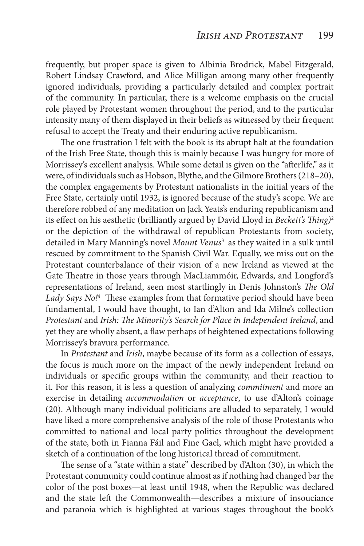frequently, but proper space is given to Albinia Brodrick, Mabel Fitzgerald, Robert Lindsay Crawford, and Alice Milligan among many other frequently ignored individuals, providing a particularly detailed and complex portrait of the community. In particular, there is a welcome emphasis on the crucial role played by Protestant women throughout the period, and to the particular intensity many of them displayed in their beliefs as witnessed by their frequent refusal to accept the Treaty and their enduring active republicanism.

The one frustration I felt with the book is its abrupt halt at the foundation of the Irish Free State, though this is mainly because I was hungry for more of Morrissey's excellent analysis. While some detail is given on the "afterlife," as it were, of individuals such as Hobson, Blythe, and the Gilmore Brothers (218–20), the complex engagements by Protestant nationalists in the initial years of the Free State, certainly until 1932, is ignored because of the study's scope. We are therefore robbed of any meditation on Jack Yeats's enduring republicanism and its effect on his aesthetic (brilliantly argued by David Lloyd in *Beckett's Thing)*<sup>2</sup> or the depiction of the withdrawal of republican Protestants from society, detailed in Mary Manning's novel *Mount Venus*<sup>3</sup> as they waited in a sulk until rescued by commitment to the Spanish Civil War. Equally, we miss out on the Protestant counterbalance of their vision of a new Ireland as viewed at the Gate Theatre in those years through MacLiammóir, Edwards, and Longford's representations of Ireland, seen most startlingly in Denis Johnston's *The Old*  Lady Says No!<sup>4</sup> These examples from that formative period should have been fundamental, I would have thought, to Ian d'Alton and Ida Milne's collection *Protestant* and *Irish: The Minority's Search for Place in Independent Ireland*, and yet they are wholly absent, a flaw perhaps of heightened expectations following Morrissey's bravura performance.

In *Protestant* and *Irish*, maybe because of its form as a collection of essays, the focus is much more on the impact of the newly independent Ireland on individuals or specific groups within the community, and their reaction to it. For this reason, it is less a question of analyzing *commitment* and more an exercise in detailing *accommodation* or *acceptance*, to use d'Alton's coinage (20). Although many individual politicians are alluded to separately, I would have liked a more comprehensive analysis of the role of those Protestants who committed to national and local party politics throughout the development of the state, both in Fianna Fáil and Fine Gael, which might have provided a sketch of a continuation of the long historical thread of commitment.

The sense of a "state within a state" described by d'Alton (30), in which the Protestant community could continue almost as if nothing had changed bar the color of the post boxes—at least until 1948, when the Republic was declared and the state left the Commonwealth—describes a mixture of insouciance and paranoia which is highlighted at various stages throughout the book's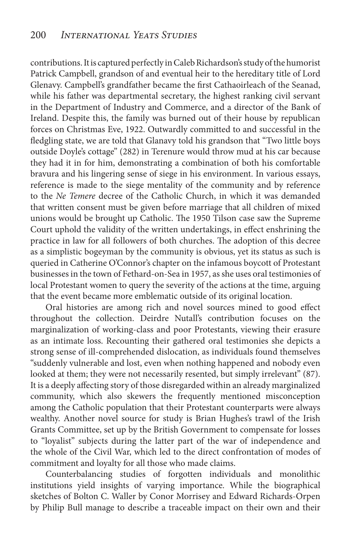contributions. It is captured perfectly in Caleb Richardson's study of the humorist Patrick Campbell, grandson of and eventual heir to the hereditary title of Lord Glenavy. Campbell's grandfather became the first Cathaoirleach of the Seanad, while his father was departmental secretary, the highest ranking civil servant in the Department of Industry and Commerce, and a director of the Bank of Ireland. Despite this, the family was burned out of their house by republican forces on Christmas Eve, 1922. Outwardly committed to and successful in the fledgling state, we are told that Glanavy told his grandson that "Two little boys outside Doyle's cottage" (282) in Terenure would throw mud at his car because they had it in for him, demonstrating a combination of both his comfortable bravura and his lingering sense of siege in his environment. In various essays, reference is made to the siege mentality of the community and by reference to the *Ne Temere* decree of the Catholic Church, in which it was demanded that written consent must be given before marriage that all children of mixed unions would be brought up Catholic. The 1950 Tilson case saw the Supreme Court uphold the validity of the written undertakings, in effect enshrining the practice in law for all followers of both churches. The adoption of this decree as a simplistic bogeyman by the community is obvious, yet its status as such is queried in Catherine O'Connor's chapter on the infamous boycott of Protestant businesses in the town of Fethard-on-Sea in 1957, as she uses oral testimonies of local Protestant women to query the severity of the actions at the time, arguing that the event became more emblematic outside of its original location.

Oral histories are among rich and novel sources mined to good effect throughout the collection. Deirdre Nutall's contribution focuses on the marginalization of working-class and poor Protestants, viewing their erasure as an intimate loss. Recounting their gathered oral testimonies she depicts a strong sense of ill-comprehended dislocation, as individuals found themselves "suddenly vulnerable and lost, even when nothing happened and nobody even looked at them; they were not necessarily resented, but simply irrelevant" (87). It is a deeply affecting story of those disregarded within an already marginalized community, which also skewers the frequently mentioned misconception among the Catholic population that their Protestant counterparts were always wealthy. Another novel source for study is Brian Hughes's trawl of the Irish Grants Committee, set up by the British Government to compensate for losses to "loyalist" subjects during the latter part of the war of independence and the whole of the Civil War, which led to the direct confrontation of modes of commitment and loyalty for all those who made claims.

Counterbalancing studies of forgotten individuals and monolithic institutions yield insights of varying importance. While the biographical sketches of Bolton C. Waller by Conor Morrisey and Edward Richards-Orpen by Philip Bull manage to describe a traceable impact on their own and their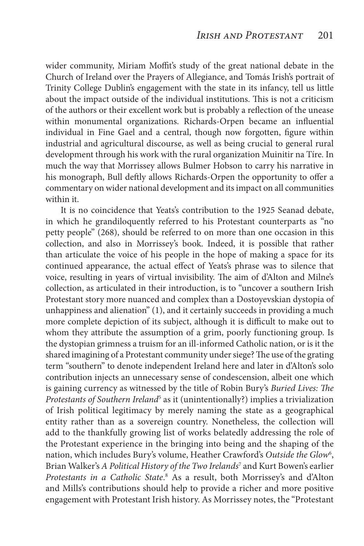wider community, Miriam Moffit's study of the great national debate in the Church of Ireland over the Prayers of Allegiance, and Tomás Irish's portrait of Trinity College Dublin's engagement with the state in its infancy, tell us little about the impact outside of the individual institutions. This is not a criticism of the authors or their excellent work but is probably a reflection of the unease within monumental organizations. Richards-Orpen became an influential individual in Fine Gael and a central, though now forgotten, figure within industrial and agricultural discourse, as well as being crucial to general rural development through his work with the rural organization Muinitir na Tíre. In much the way that Morrissey allows Bulmer Hobson to carry his narrative in his monograph, Bull deftly allows Richards-Orpen the opportunity to offer a commentary on wider national development and its impact on all communities within it.

It is no coincidence that Yeats's contribution to the 1925 Seanad debate, in which he grandiloquently referred to his Protestant counterparts as "no petty people" (268), should be referred to on more than one occasion in this collection, and also in Morrissey's book. Indeed, it is possible that rather than articulate the voice of his people in the hope of making a space for its continued appearance, the actual effect of Yeats's phrase was to silence that voice, resulting in years of virtual invisibility. The aim of d'Alton and Milne's collection, as articulated in their introduction, is to "uncover a southern Irish Protestant story more nuanced and complex than a Dostoyevskian dystopia of unhappiness and alienation" (1), and it certainly succeeds in providing a much more complete depiction of its subject, although it is difficult to make out to whom they attribute the assumption of a grim, poorly functioning group. Is the dystopian grimness a truism for an ill-informed Catholic nation, or is it the shared imagining of a Protestant community under siege? The use of the grating term "southern" to denote independent Ireland here and later in d'Alton's solo contribution injects an unnecessary sense of condescension, albeit one which is gaining currency as witnessed by the title of Robin Bury's *Buried Lives: The Protestants of Southern Ireland<sup>5</sup>* as it (unintentionally?) implies a trivialization of Irish political legitimacy by merely naming the state as a geographical entity rather than as a sovereign country. Nonetheless, the collection will add to the thankfully growing list of works belatedly addressing the role of the Protestant experience in the bringing into being and the shaping of the nation, which includes Bury's volume, Heather Crawford's Outside the Glow<sup>6</sup>, Brian Walker's *A Political History of the Two Irelands*<sup>7</sup> and Kurt Bowen's earlier *Protestants in a Catholic State*. 8 As a result, both Morrissey's and d'Alton and Mills's contributions should help to provide a richer and more positive engagement with Protestant Irish history. As Morrissey notes, the "Protestant